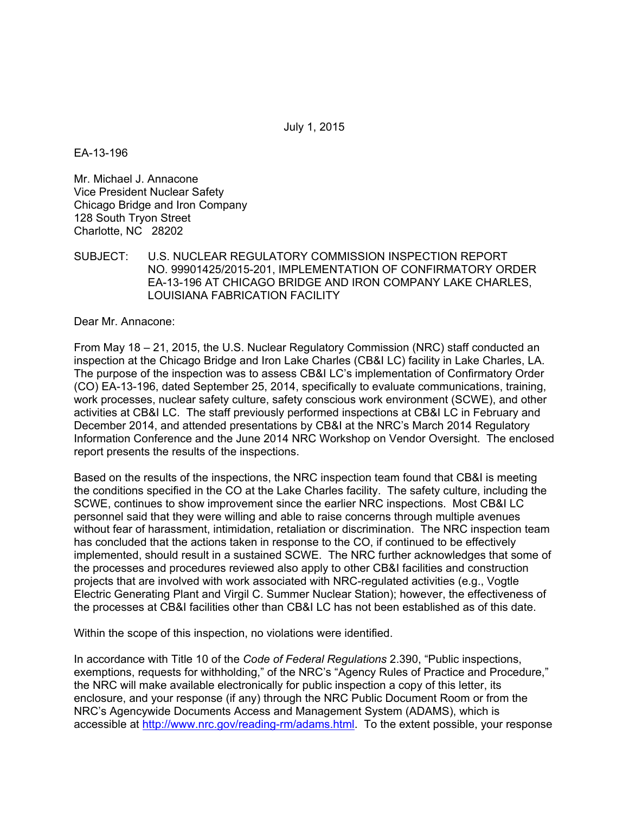July 1, 2015

EA-13-196

Mr. Michael J. Annacone Vice President Nuclear Safety Chicago Bridge and Iron Company 128 South Tryon Street Charlotte, NC 28202

## SUBJECT: U.S. NUCLEAR REGULATORY COMMISSION INSPECTION REPORT NO. 99901425/2015-201, IMPLEMENTATION OF CONFIRMATORY ORDER EA-13-196 AT CHICAGO BRIDGE AND IRON COMPANY LAKE CHARLES, LOUISIANA FABRICATION FACILITY

Dear Mr. Annacone:

From May 18 – 21, 2015, the U.S. Nuclear Regulatory Commission (NRC) staff conducted an inspection at the Chicago Bridge and Iron Lake Charles (CB&I LC) facility in Lake Charles, LA. The purpose of the inspection was to assess CB&I LC's implementation of Confirmatory Order (CO) EA-13-196, dated September 25, 2014, specifically to evaluate communications, training, work processes, nuclear safety culture, safety conscious work environment (SCWE), and other activities at CB&I LC. The staff previously performed inspections at CB&I LC in February and December 2014, and attended presentations by CB&I at the NRC's March 2014 Regulatory Information Conference and the June 2014 NRC Workshop on Vendor Oversight. The enclosed report presents the results of the inspections.

Based on the results of the inspections, the NRC inspection team found that CB&I is meeting the conditions specified in the CO at the Lake Charles facility. The safety culture, including the SCWE, continues to show improvement since the earlier NRC inspections. Most CB&I LC personnel said that they were willing and able to raise concerns through multiple avenues without fear of harassment, intimidation, retaliation or discrimination. The NRC inspection team has concluded that the actions taken in response to the CO, if continued to be effectively implemented, should result in a sustained SCWE. The NRC further acknowledges that some of the processes and procedures reviewed also apply to other CB&I facilities and construction projects that are involved with work associated with NRC-regulated activities (e.g., Vogtle Electric Generating Plant and Virgil C. Summer Nuclear Station); however, the effectiveness of the processes at CB&I facilities other than CB&I LC has not been established as of this date.

Within the scope of this inspection, no violations were identified.

In accordance with Title 10 of the *Code of Federal Regulations* 2.390, "Public inspections, exemptions, requests for withholding," of the NRC's "Agency Rules of Practice and Procedure," the NRC will make available electronically for public inspection a copy of this letter, its enclosure, and your response (if any) through the NRC Public Document Room or from the NRC's Agencywide Documents Access and Management System (ADAMS), which is accessible at http://www.nrc.gov/reading-rm/adams.html. To the extent possible, your response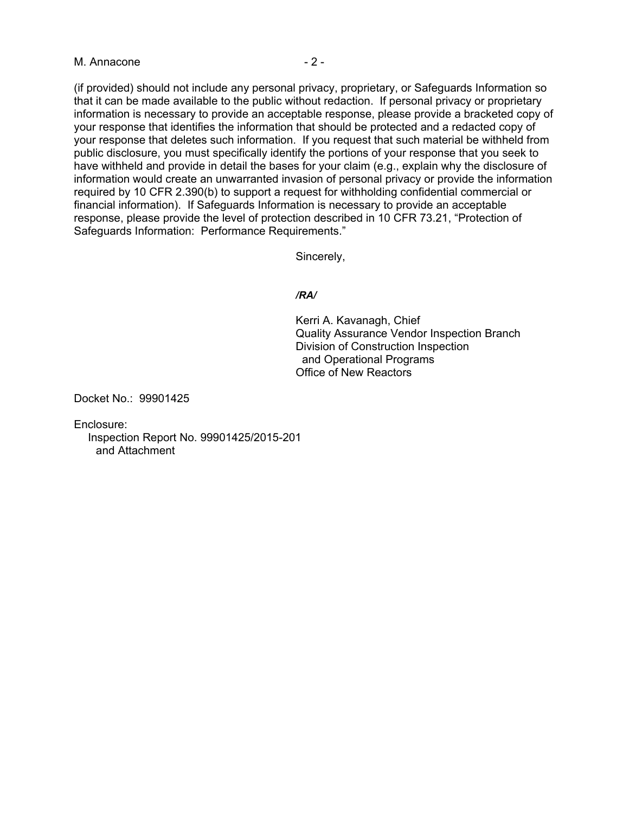## M. Annacone  $-2$  -

(if provided) should not include any personal privacy, proprietary, or Safeguards Information so that it can be made available to the public without redaction. If personal privacy or proprietary information is necessary to provide an acceptable response, please provide a bracketed copy of your response that identifies the information that should be protected and a redacted copy of your response that deletes such information. If you request that such material be withheld from public disclosure, you must specifically identify the portions of your response that you seek to have withheld and provide in detail the bases for your claim (e.g., explain why the disclosure of information would create an unwarranted invasion of personal privacy or provide the information required by 10 CFR 2.390(b) to support a request for withholding confidential commercial or financial information). If Safeguards Information is necessary to provide an acceptable response, please provide the level of protection described in 10 CFR 73.21, "Protection of Safeguards Information: Performance Requirements."

Sincerely,

#### */RA/*

Kerri A. Kavanagh, Chief Quality Assurance Vendor Inspection Branch Division of Construction Inspection and Operational Programs Office of New Reactors

Docket No.: 99901425

Enclosure:

 Inspection Report No. 99901425/2015-201 and Attachment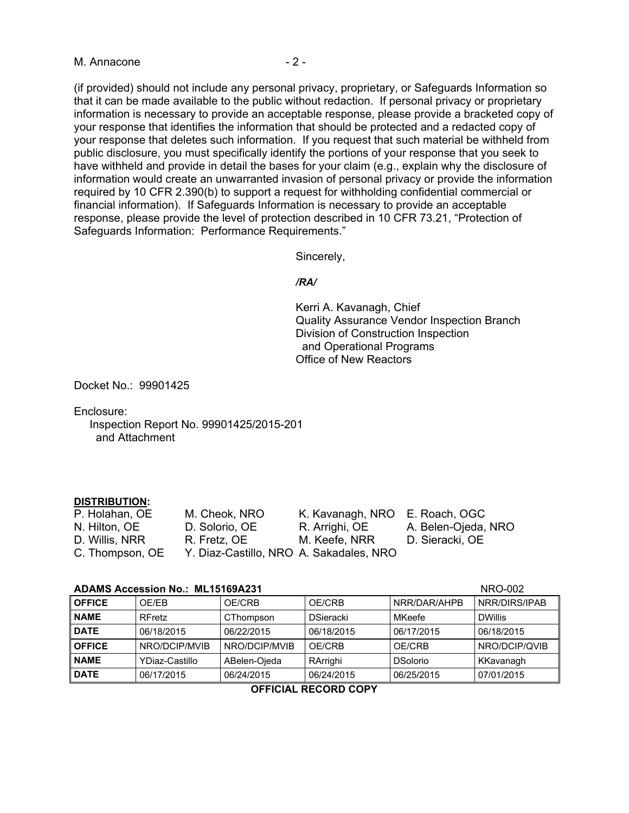## M. Annacone  $-2$  -

(if provided) should not include any personal privacy, proprietary, or Safeguards Information so that it can be made available to the public without redaction. If personal privacy or proprietary information is necessary to provide an acceptable response, please provide a bracketed copy of your response that identifies the information that should be protected and a redacted copy of your response that deletes such information. If you request that such material be withheld from public disclosure, you must specifically identify the portions of your response that you seek to have withheld and provide in detail the bases for your claim (e.g., explain why the disclosure of information would create an unwarranted invasion of personal privacy or provide the information required by 10 CFR 2.390(b) to support a request for withholding confidential commercial or financial information). If Safeguards Information is necessary to provide an acceptable response, please provide the level of protection described in 10 CFR 73.21, "Protection of Safeguards Information: Performance Requirements."

Sincerely,

#### */RA/*

Kerri A. Kavanagh, Chief Quality Assurance Vendor Inspection Branch Division of Construction Inspection and Operational Programs Office of New Reactors

Docket No.: 99901425

Enclosure:

 Inspection Report No. 99901425/2015-201 and Attachment

#### **DISTRIBUTION:**

| P. Holahan, OE  | M. Cheok, NRO                           | K. Kavanagh, NRO E. Roach, OGC |                     |
|-----------------|-----------------------------------------|--------------------------------|---------------------|
| N. Hilton, OE   | D. Solorio, OE                          | R. Arrighi, OE                 | A. Belen-Ojeda, NRO |
| D. Willis, NRR  | R. Fretz, OE                            | M. Keefe, NRR                  | D. Sieracki, OE     |
| C. Thompson, OE | Y. Diaz-Castillo, NRO A. Sakadales, NRO |                                |                     |

#### **ADAMS Accession No.: ML15169A221** NRO-002

| ADAMO ACCESSION NO METOTOSAZOT |                |               | IVINU-UUZ        |                 |                |
|--------------------------------|----------------|---------------|------------------|-----------------|----------------|
| <b>OFFICE</b>                  | OE/EB          | OE/CRB        | OE/CRB           | NRR/DAR/AHPB    | NRR/DIRS/IPAB  |
| <b>NAME</b>                    | <b>RFretz</b>  | CThompson     | <b>DSieracki</b> | MKeefe          | <b>DWillis</b> |
| <b>DATE</b>                    | 06/18/2015     | 06/22/2015    | 06/18/2015       | 06/17/2015      | 06/18/2015     |
| <b>OFFICE</b>                  | NRO/DCIP/MVIB  | NRO/DCIP/MVIB | OE/CRB           | OE/CRB          | NRO/DCIP/QVIB  |
| <b>NAME</b>                    | YDiaz-Castillo | ABelen-Ojeda  | RArrighi         | <b>DSolorio</b> | KKavanagh      |
| <b>DATE</b>                    | 06/17/2015     | 06/24/2015    | 06/24/2015       | 06/25/2015      | 07/01/2015     |
|                                |                |               |                  |                 |                |

#### **OFFICIAL RECORD COPY**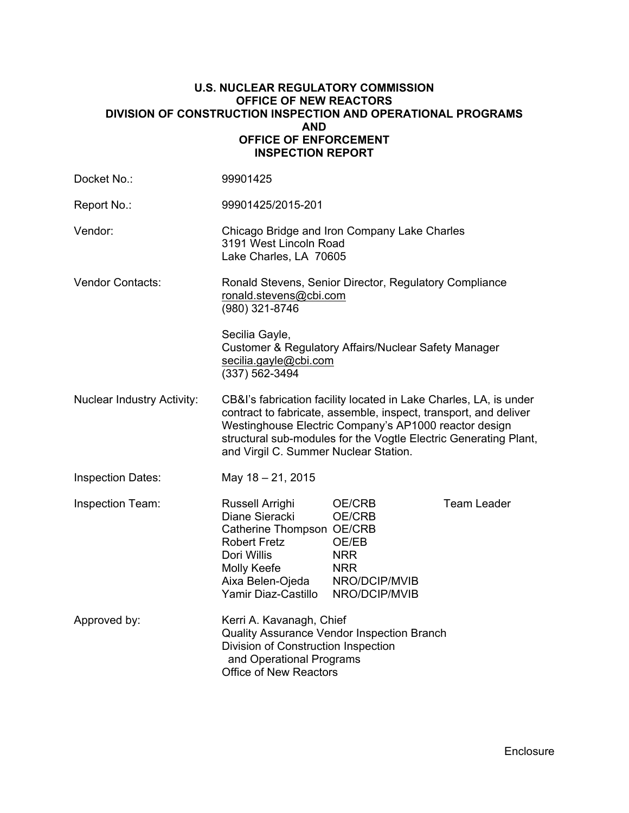## **U.S. NUCLEAR REGULATORY COMMISSION OFFICE OF NEW REACTORS DIVISION OF CONSTRUCTION INSPECTION AND OPERATIONAL PROGRAMS AND OFFICE OF ENFORCEMENT INSPECTION REPORT**

| Docket No.:                       | 99901425                                                                                                                                                                                                                                                                                                    |                                                                                         |                    |
|-----------------------------------|-------------------------------------------------------------------------------------------------------------------------------------------------------------------------------------------------------------------------------------------------------------------------------------------------------------|-----------------------------------------------------------------------------------------|--------------------|
| Report No.:                       | 99901425/2015-201                                                                                                                                                                                                                                                                                           |                                                                                         |                    |
| Vendor:                           | Chicago Bridge and Iron Company Lake Charles<br>3191 West Lincoln Road<br>Lake Charles, LA 70605                                                                                                                                                                                                            |                                                                                         |                    |
| <b>Vendor Contacts:</b>           | Ronald Stevens, Senior Director, Regulatory Compliance<br>ronald.stevens@cbi.com<br>(980) 321-8746                                                                                                                                                                                                          |                                                                                         |                    |
|                                   | Secilia Gayle,<br>secilia.gayle@cbi.com<br>(337) 562-3494                                                                                                                                                                                                                                                   | Customer & Regulatory Affairs/Nuclear Safety Manager                                    |                    |
| <b>Nuclear Industry Activity:</b> | CB&I's fabrication facility located in Lake Charles, LA, is under<br>contract to fabricate, assemble, inspect, transport, and deliver<br>Westinghouse Electric Company's AP1000 reactor design<br>structural sub-modules for the Vogtle Electric Generating Plant,<br>and Virgil C. Summer Nuclear Station. |                                                                                         |                    |
| <b>Inspection Dates:</b>          | May 18 - 21, 2015                                                                                                                                                                                                                                                                                           |                                                                                         |                    |
| <b>Inspection Team:</b>           | Russell Arrighi<br>Diane Sieracki<br>Catherine Thompson OE/CRB<br><b>Robert Fretz</b><br>Dori Willis<br>Molly Keefe<br>Aixa Belen-Ojeda<br>Yamir Diaz-Castillo                                                                                                                                              | OE/CRB<br>OE/CRB<br>OE/EB<br><b>NRR</b><br><b>NRR</b><br>NRO/DCIP/MVIB<br>NRO/DCIP/MVIB | <b>Team Leader</b> |
| Approved by:                      | Kerri A. Kavanagh, Chief<br>Division of Construction Inspection<br>and Operational Programs<br><b>Office of New Reactors</b>                                                                                                                                                                                | Quality Assurance Vendor Inspection Branch                                              |                    |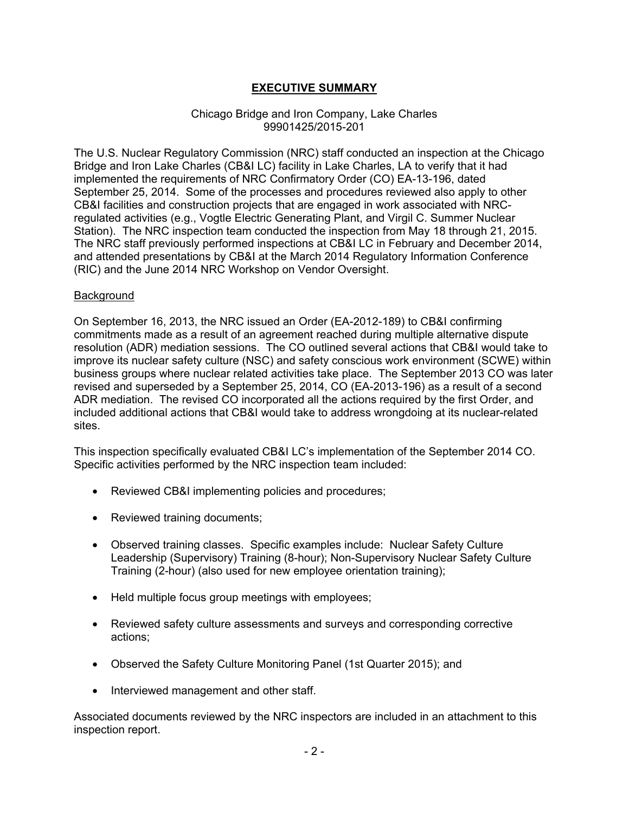# **EXECUTIVE SUMMARY**

## Chicago Bridge and Iron Company, Lake Charles 99901425/2015-201

The U.S. Nuclear Regulatory Commission (NRC) staff conducted an inspection at the Chicago Bridge and Iron Lake Charles (CB&I LC) facility in Lake Charles, LA to verify that it had implemented the requirements of NRC Confirmatory Order (CO) EA-13-196, dated September 25, 2014. Some of the processes and procedures reviewed also apply to other CB&I facilities and construction projects that are engaged in work associated with NRCregulated activities (e.g., Vogtle Electric Generating Plant, and Virgil C. Summer Nuclear Station). The NRC inspection team conducted the inspection from May 18 through 21, 2015. The NRC staff previously performed inspections at CB&I LC in February and December 2014, and attended presentations by CB&I at the March 2014 Regulatory Information Conference (RIC) and the June 2014 NRC Workshop on Vendor Oversight.

### Background

On September 16, 2013, the NRC issued an Order (EA-2012-189) to CB&I confirming commitments made as a result of an agreement reached during multiple alternative dispute resolution (ADR) mediation sessions. The CO outlined several actions that CB&I would take to improve its nuclear safety culture (NSC) and safety conscious work environment (SCWE) within business groups where nuclear related activities take place. The September 2013 CO was later revised and superseded by a September 25, 2014, CO (EA-2013-196) as a result of a second ADR mediation. The revised CO incorporated all the actions required by the first Order, and included additional actions that CB&I would take to address wrongdoing at its nuclear-related sites.

This inspection specifically evaluated CB&I LC's implementation of the September 2014 CO. Specific activities performed by the NRC inspection team included:

- Reviewed CB&I implementing policies and procedures;
- Reviewed training documents;
- Observed training classes. Specific examples include: Nuclear Safety Culture Leadership (Supervisory) Training (8-hour); Non-Supervisory Nuclear Safety Culture Training (2-hour) (also used for new employee orientation training);
- Held multiple focus group meetings with employees;
- Reviewed safety culture assessments and surveys and corresponding corrective actions;
- Observed the Safety Culture Monitoring Panel (1st Quarter 2015); and
- Interviewed management and other staff.

Associated documents reviewed by the NRC inspectors are included in an attachment to this inspection report.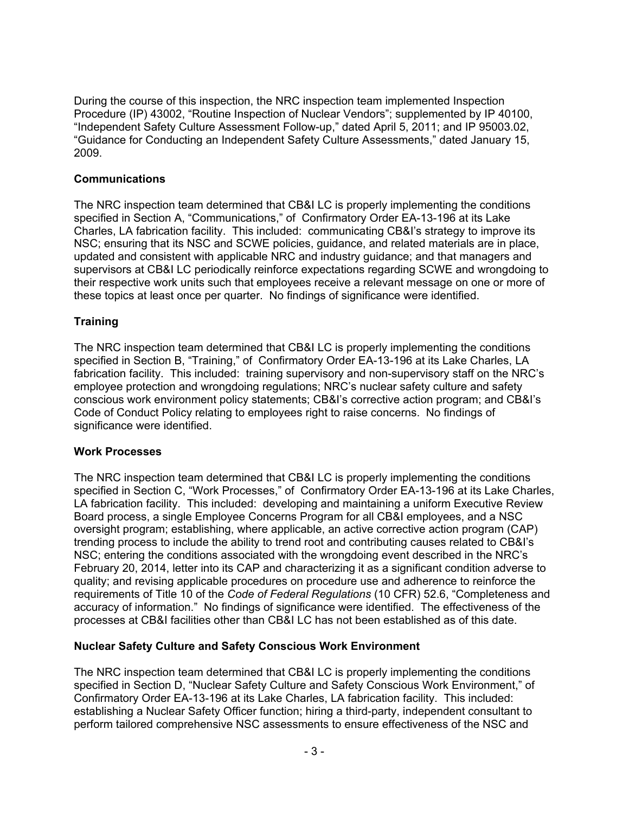During the course of this inspection, the NRC inspection team implemented Inspection Procedure (IP) 43002, "Routine Inspection of Nuclear Vendors"; supplemented by IP 40100, "Independent Safety Culture Assessment Follow-up," dated April 5, 2011; and IP 95003.02, "Guidance for Conducting an Independent Safety Culture Assessments," dated January 15, 2009.

# **Communications**

The NRC inspection team determined that CB&I LC is properly implementing the conditions specified in Section A, "Communications," of Confirmatory Order EA-13-196 at its Lake Charles, LA fabrication facility. This included: communicating CB&I's strategy to improve its NSC; ensuring that its NSC and SCWE policies, guidance, and related materials are in place, updated and consistent with applicable NRC and industry guidance; and that managers and supervisors at CB&I LC periodically reinforce expectations regarding SCWE and wrongdoing to their respective work units such that employees receive a relevant message on one or more of these topics at least once per quarter. No findings of significance were identified.

# **Training**

The NRC inspection team determined that CB&I LC is properly implementing the conditions specified in Section B, "Training," of Confirmatory Order EA-13-196 at its Lake Charles, LA fabrication facility. This included: training supervisory and non-supervisory staff on the NRC's employee protection and wrongdoing regulations; NRC's nuclear safety culture and safety conscious work environment policy statements; CB&I's corrective action program; and CB&I's Code of Conduct Policy relating to employees right to raise concerns. No findings of significance were identified.

# **Work Processes**

The NRC inspection team determined that CB&I LC is properly implementing the conditions specified in Section C, "Work Processes," of Confirmatory Order EA-13-196 at its Lake Charles, LA fabrication facility. This included: developing and maintaining a uniform Executive Review Board process, a single Employee Concerns Program for all CB&I employees, and a NSC oversight program; establishing, where applicable, an active corrective action program (CAP) trending process to include the ability to trend root and contributing causes related to CB&I's NSC; entering the conditions associated with the wrongdoing event described in the NRC's February 20, 2014, letter into its CAP and characterizing it as a significant condition adverse to quality; and revising applicable procedures on procedure use and adherence to reinforce the requirements of Title 10 of the *Code of Federal Regulations* (10 CFR) 52.6, "Completeness and accuracy of information." No findings of significance were identified. The effectiveness of the processes at CB&I facilities other than CB&I LC has not been established as of this date.

# **Nuclear Safety Culture and Safety Conscious Work Environment**

The NRC inspection team determined that CB&I LC is properly implementing the conditions specified in Section D, "Nuclear Safety Culture and Safety Conscious Work Environment," of Confirmatory Order EA-13-196 at its Lake Charles, LA fabrication facility. This included: establishing a Nuclear Safety Officer function; hiring a third-party, independent consultant to perform tailored comprehensive NSC assessments to ensure effectiveness of the NSC and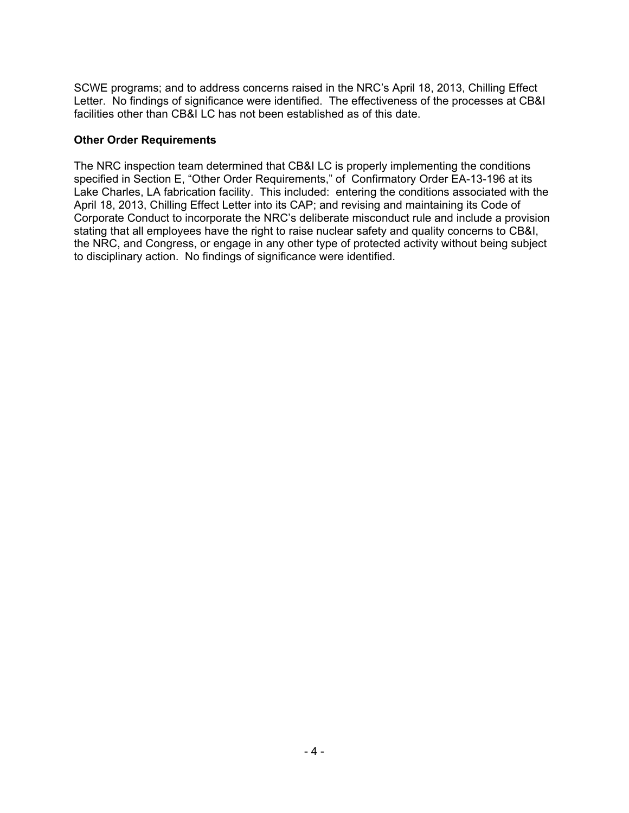SCWE programs; and to address concerns raised in the NRC's April 18, 2013, Chilling Effect Letter. No findings of significance were identified. The effectiveness of the processes at CB&I facilities other than CB&I LC has not been established as of this date.

## **Other Order Requirements**

The NRC inspection team determined that CB&I LC is properly implementing the conditions specified in Section E, "Other Order Requirements," of Confirmatory Order EA-13-196 at its Lake Charles, LA fabrication facility. This included: entering the conditions associated with the April 18, 2013, Chilling Effect Letter into its CAP; and revising and maintaining its Code of Corporate Conduct to incorporate the NRC's deliberate misconduct rule and include a provision stating that all employees have the right to raise nuclear safety and quality concerns to CB&I, the NRC, and Congress, or engage in any other type of protected activity without being subject to disciplinary action. No findings of significance were identified.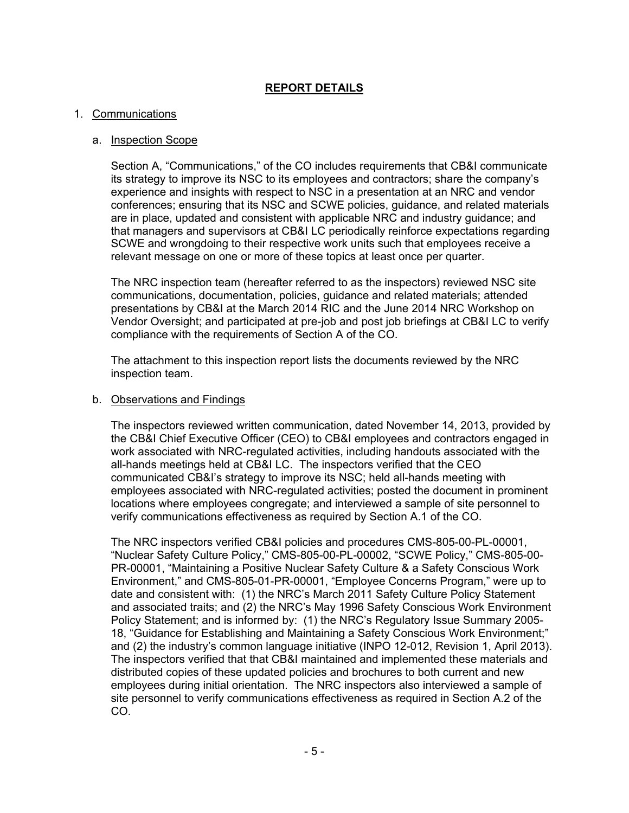# **REPORT DETAILS**

## 1. Communications

## a. Inspection Scope

Section A, "Communications," of the CO includes requirements that CB&I communicate its strategy to improve its NSC to its employees and contractors; share the company's experience and insights with respect to NSC in a presentation at an NRC and vendor conferences; ensuring that its NSC and SCWE policies, guidance, and related materials are in place, updated and consistent with applicable NRC and industry guidance; and that managers and supervisors at CB&I LC periodically reinforce expectations regarding SCWE and wrongdoing to their respective work units such that employees receive a relevant message on one or more of these topics at least once per quarter.

The NRC inspection team (hereafter referred to as the inspectors) reviewed NSC site communications, documentation, policies, guidance and related materials; attended presentations by CB&I at the March 2014 RIC and the June 2014 NRC Workshop on Vendor Oversight; and participated at pre-job and post job briefings at CB&I LC to verify compliance with the requirements of Section A of the CO.

The attachment to this inspection report lists the documents reviewed by the NRC inspection team.

### b. Observations and Findings

The inspectors reviewed written communication, dated November 14, 2013, provided by the CB&I Chief Executive Officer (CEO) to CB&I employees and contractors engaged in work associated with NRC-regulated activities, including handouts associated with the all-hands meetings held at CB&I LC. The inspectors verified that the CEO communicated CB&I's strategy to improve its NSC; held all-hands meeting with employees associated with NRC-regulated activities; posted the document in prominent locations where employees congregate; and interviewed a sample of site personnel to verify communications effectiveness as required by Section A.1 of the CO.

The NRC inspectors verified CB&I policies and procedures CMS-805-00-PL-00001, "Nuclear Safety Culture Policy," CMS-805-00-PL-00002, "SCWE Policy," CMS-805-00- PR-00001, "Maintaining a Positive Nuclear Safety Culture & a Safety Conscious Work Environment," and CMS-805-01-PR-00001, "Employee Concerns Program," were up to date and consistent with: (1) the NRC's March 2011 Safety Culture Policy Statement and associated traits; and (2) the NRC's May 1996 Safety Conscious Work Environment Policy Statement; and is informed by: (1) the NRC's Regulatory Issue Summary 2005- 18, "Guidance for Establishing and Maintaining a Safety Conscious Work Environment;" and (2) the industry's common language initiative (INPO 12-012, Revision 1, April 2013). The inspectors verified that that CB&I maintained and implemented these materials and distributed copies of these updated policies and brochures to both current and new employees during initial orientation. The NRC inspectors also interviewed a sample of site personnel to verify communications effectiveness as required in Section A.2 of the CO.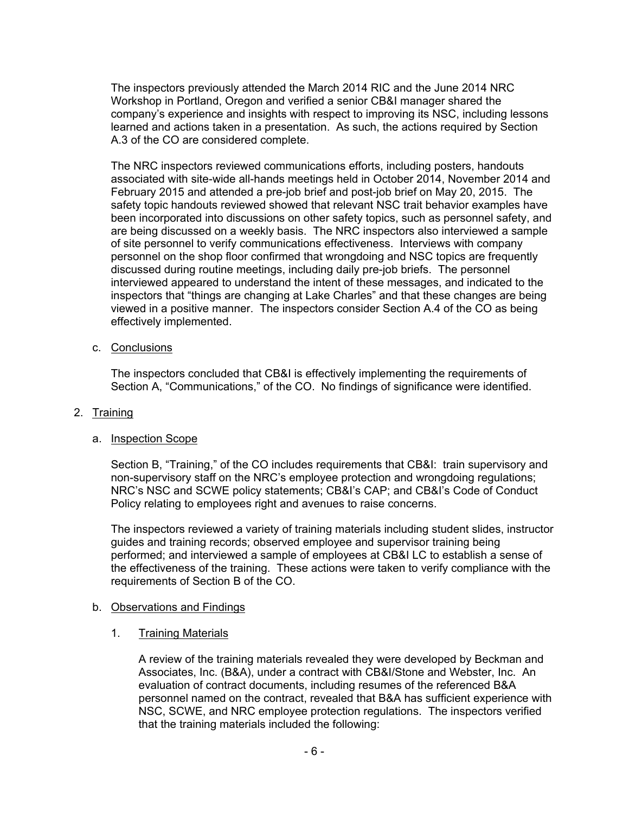The inspectors previously attended the March 2014 RIC and the June 2014 NRC Workshop in Portland, Oregon and verified a senior CB&I manager shared the company's experience and insights with respect to improving its NSC, including lessons learned and actions taken in a presentation. As such, the actions required by Section A.3 of the CO are considered complete.

The NRC inspectors reviewed communications efforts, including posters, handouts associated with site-wide all-hands meetings held in October 2014, November 2014 and February 2015 and attended a pre-job brief and post-job brief on May 20, 2015. The safety topic handouts reviewed showed that relevant NSC trait behavior examples have been incorporated into discussions on other safety topics, such as personnel safety, and are being discussed on a weekly basis. The NRC inspectors also interviewed a sample of site personnel to verify communications effectiveness. Interviews with company personnel on the shop floor confirmed that wrongdoing and NSC topics are frequently discussed during routine meetings, including daily pre-job briefs. The personnel interviewed appeared to understand the intent of these messages, and indicated to the inspectors that "things are changing at Lake Charles" and that these changes are being viewed in a positive manner. The inspectors consider Section A.4 of the CO as being effectively implemented.

c. Conclusions

The inspectors concluded that CB&I is effectively implementing the requirements of Section A, "Communications," of the CO. No findings of significance were identified.

2. Training

### a. Inspection Scope

Section B, "Training," of the CO includes requirements that CB&I: train supervisory and non-supervisory staff on the NRC's employee protection and wrongdoing regulations; NRC's NSC and SCWE policy statements; CB&I's CAP; and CB&I's Code of Conduct Policy relating to employees right and avenues to raise concerns.

The inspectors reviewed a variety of training materials including student slides, instructor guides and training records; observed employee and supervisor training being performed; and interviewed a sample of employees at CB&I LC to establish a sense of the effectiveness of the training. These actions were taken to verify compliance with the requirements of Section B of the CO.

### b. Observations and Findings

1. Training Materials

A review of the training materials revealed they were developed by Beckman and Associates, Inc. (B&A), under a contract with CB&I/Stone and Webster, Inc. An evaluation of contract documents, including resumes of the referenced B&A personnel named on the contract, revealed that B&A has sufficient experience with NSC, SCWE, and NRC employee protection regulations. The inspectors verified that the training materials included the following: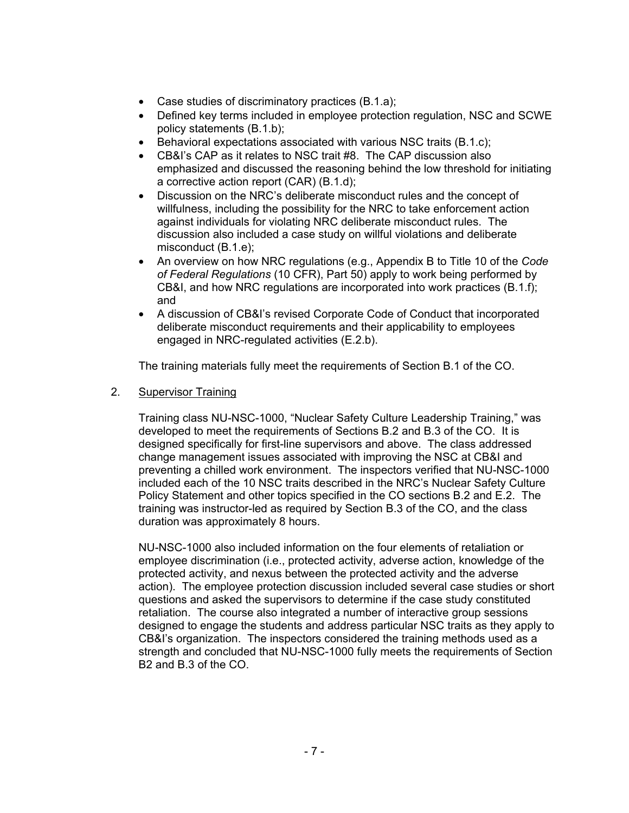- Case studies of discriminatory practices (B.1.a);
- Defined key terms included in employee protection regulation, NSC and SCWE policy statements (B.1.b);
- Behavioral expectations associated with various NSC traits (B.1.c);
- CB&I's CAP as it relates to NSC trait #8. The CAP discussion also emphasized and discussed the reasoning behind the low threshold for initiating a corrective action report (CAR) (B.1.d);
- Discussion on the NRC's deliberate misconduct rules and the concept of willfulness, including the possibility for the NRC to take enforcement action against individuals for violating NRC deliberate misconduct rules. The discussion also included a case study on willful violations and deliberate misconduct (B.1.e);
- An overview on how NRC regulations (e.g., Appendix B to Title 10 of the *Code of Federal Regulations* (10 CFR), Part 50) apply to work being performed by CB&I, and how NRC regulations are incorporated into work practices (B.1.f); and
- A discussion of CB&I's revised Corporate Code of Conduct that incorporated deliberate misconduct requirements and their applicability to employees engaged in NRC-regulated activities (E.2.b).

The training materials fully meet the requirements of Section B.1 of the CO.

2. Supervisor Training

Training class NU-NSC-1000, "Nuclear Safety Culture Leadership Training," was developed to meet the requirements of Sections B.2 and B.3 of the CO. It is designed specifically for first-line supervisors and above. The class addressed change management issues associated with improving the NSC at CB&I and preventing a chilled work environment. The inspectors verified that NU-NSC-1000 included each of the 10 NSC traits described in the NRC's Nuclear Safety Culture Policy Statement and other topics specified in the CO sections B.2 and E.2. The training was instructor-led as required by Section B.3 of the CO, and the class duration was approximately 8 hours.

NU-NSC-1000 also included information on the four elements of retaliation or employee discrimination (i.e., protected activity, adverse action, knowledge of the protected activity, and nexus between the protected activity and the adverse action). The employee protection discussion included several case studies or short questions and asked the supervisors to determine if the case study constituted retaliation. The course also integrated a number of interactive group sessions designed to engage the students and address particular NSC traits as they apply to CB&I's organization. The inspectors considered the training methods used as a strength and concluded that NU-NSC-1000 fully meets the requirements of Section B2 and B.3 of the CO.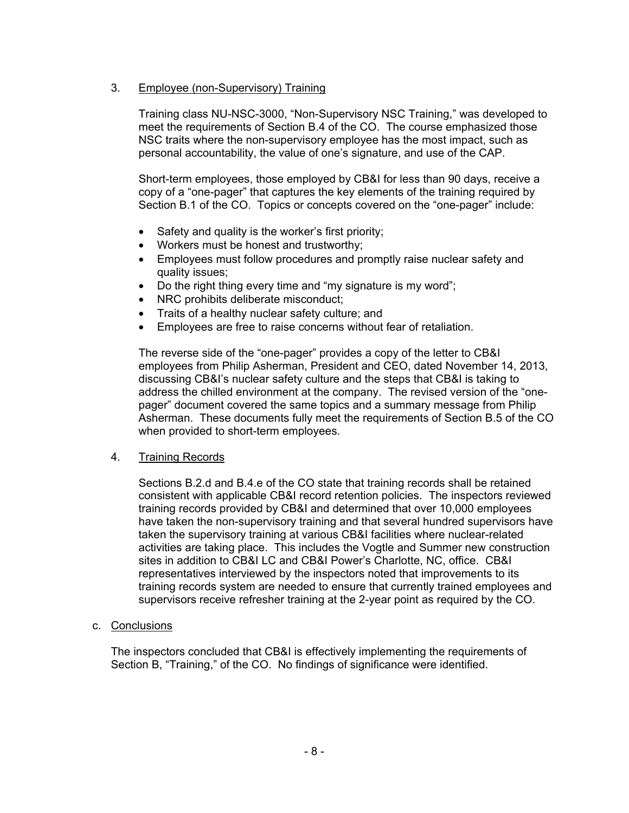# 3. Employee (non-Supervisory) Training

Training class NU-NSC-3000, "Non-Supervisory NSC Training," was developed to meet the requirements of Section B.4 of the CO. The course emphasized those NSC traits where the non-supervisory employee has the most impact, such as personal accountability, the value of one's signature, and use of the CAP.

Short-term employees, those employed by CB&I for less than 90 days, receive a copy of a "one-pager" that captures the key elements of the training required by Section B.1 of the CO. Topics or concepts covered on the "one-pager" include:

- Safety and quality is the worker's first priority;
- Workers must be honest and trustworthy;
- Employees must follow procedures and promptly raise nuclear safety and quality issues;
- Do the right thing every time and "my signature is my word";
- NRC prohibits deliberate misconduct;
- Traits of a healthy nuclear safety culture; and
- Employees are free to raise concerns without fear of retaliation.

The reverse side of the "one-pager" provides a copy of the letter to CB&I employees from Philip Asherman, President and CEO, dated November 14, 2013, discussing CB&I's nuclear safety culture and the steps that CB&I is taking to address the chilled environment at the company. The revised version of the "onepager" document covered the same topics and a summary message from Philip Asherman. These documents fully meet the requirements of Section B.5 of the CO when provided to short-term employees.

# 4. Training Records

Sections B.2.d and B.4.e of the CO state that training records shall be retained consistent with applicable CB&I record retention policies. The inspectors reviewed training records provided by CB&I and determined that over 10,000 employees have taken the non-supervisory training and that several hundred supervisors have taken the supervisory training at various CB&I facilities where nuclear-related activities are taking place. This includes the Vogtle and Summer new construction sites in addition to CB&I LC and CB&I Power's Charlotte, NC, office. CB&I representatives interviewed by the inspectors noted that improvements to its training records system are needed to ensure that currently trained employees and supervisors receive refresher training at the 2-year point as required by the CO.

# c. Conclusions

The inspectors concluded that CB&I is effectively implementing the requirements of Section B, "Training," of the CO. No findings of significance were identified.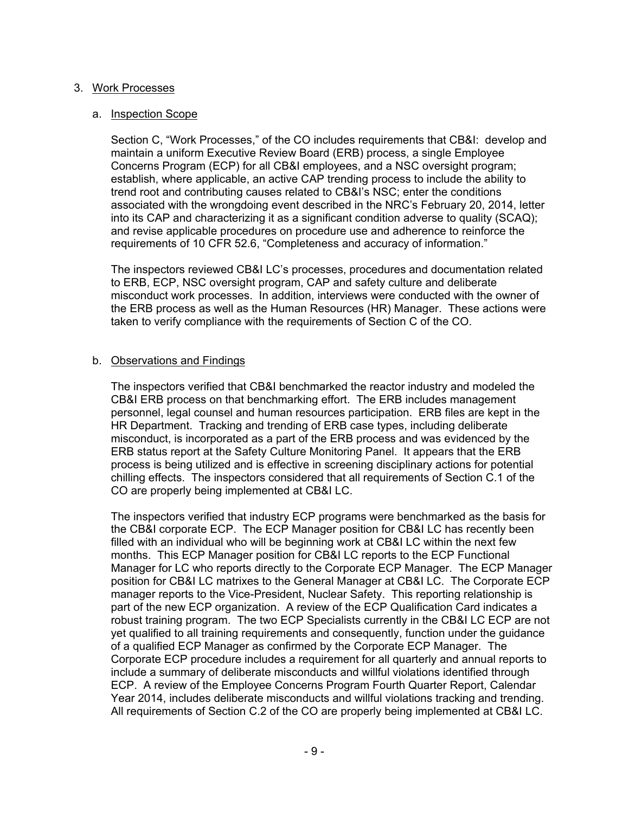## 3. Work Processes

## a. Inspection Scope

Section C, "Work Processes," of the CO includes requirements that CB&I: develop and maintain a uniform Executive Review Board (ERB) process, a single Employee Concerns Program (ECP) for all CB&I employees, and a NSC oversight program; establish, where applicable, an active CAP trending process to include the ability to trend root and contributing causes related to CB&I's NSC; enter the conditions associated with the wrongdoing event described in the NRC's February 20, 2014, letter into its CAP and characterizing it as a significant condition adverse to quality (SCAQ); and revise applicable procedures on procedure use and adherence to reinforce the requirements of 10 CFR 52.6, "Completeness and accuracy of information."

The inspectors reviewed CB&I LC's processes, procedures and documentation related to ERB, ECP, NSC oversight program, CAP and safety culture and deliberate misconduct work processes. In addition, interviews were conducted with the owner of the ERB process as well as the Human Resources (HR) Manager. These actions were taken to verify compliance with the requirements of Section C of the CO.

## b. Observations and Findings

The inspectors verified that CB&I benchmarked the reactor industry and modeled the CB&I ERB process on that benchmarking effort. The ERB includes management personnel, legal counsel and human resources participation. ERB files are kept in the HR Department. Tracking and trending of ERB case types, including deliberate misconduct, is incorporated as a part of the ERB process and was evidenced by the ERB status report at the Safety Culture Monitoring Panel. It appears that the ERB process is being utilized and is effective in screening disciplinary actions for potential chilling effects. The inspectors considered that all requirements of Section C.1 of the CO are properly being implemented at CB&I LC.

The inspectors verified that industry ECP programs were benchmarked as the basis for the CB&I corporate ECP. The ECP Manager position for CB&I LC has recently been filled with an individual who will be beginning work at CB&I LC within the next few months. This ECP Manager position for CB&I LC reports to the ECP Functional Manager for LC who reports directly to the Corporate ECP Manager. The ECP Manager position for CB&I LC matrixes to the General Manager at CB&I LC. The Corporate ECP manager reports to the Vice-President, Nuclear Safety. This reporting relationship is part of the new ECP organization. A review of the ECP Qualification Card indicates a robust training program. The two ECP Specialists currently in the CB&I LC ECP are not yet qualified to all training requirements and consequently, function under the guidance of a qualified ECP Manager as confirmed by the Corporate ECP Manager. The Corporate ECP procedure includes a requirement for all quarterly and annual reports to include a summary of deliberate misconducts and willful violations identified through ECP. A review of the Employee Concerns Program Fourth Quarter Report, Calendar Year 2014, includes deliberate misconducts and willful violations tracking and trending. All requirements of Section C.2 of the CO are properly being implemented at CB&I LC.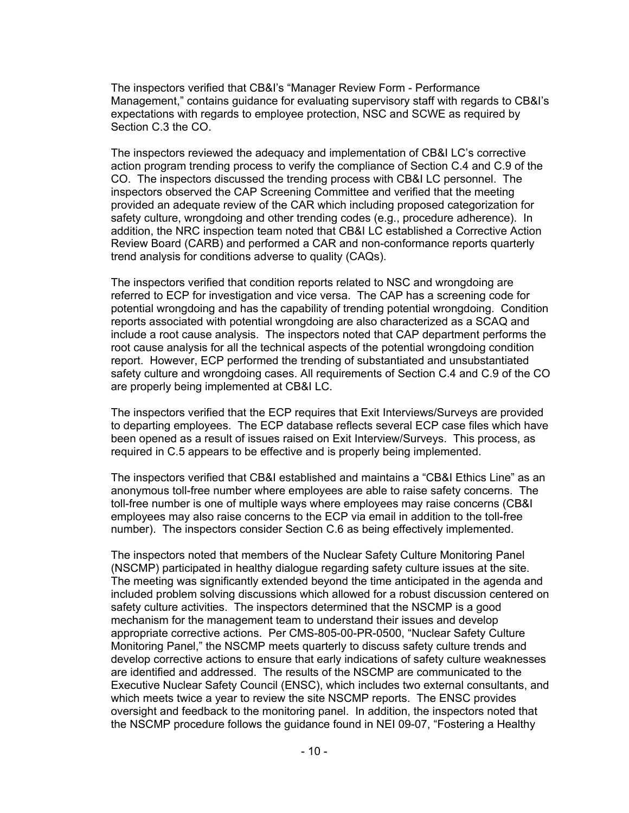The inspectors verified that CB&I's "Manager Review Form - Performance Management," contains guidance for evaluating supervisory staff with regards to CB&I's expectations with regards to employee protection, NSC and SCWE as required by Section C.3 the CO.

The inspectors reviewed the adequacy and implementation of CB&I LC's corrective action program trending process to verify the compliance of Section C.4 and C.9 of the CO. The inspectors discussed the trending process with CB&I LC personnel. The inspectors observed the CAP Screening Committee and verified that the meeting provided an adequate review of the CAR which including proposed categorization for safety culture, wrongdoing and other trending codes (e.g., procedure adherence). In addition, the NRC inspection team noted that CB&I LC established a Corrective Action Review Board (CARB) and performed a CAR and non-conformance reports quarterly trend analysis for conditions adverse to quality (CAQs).

The inspectors verified that condition reports related to NSC and wrongdoing are referred to ECP for investigation and vice versa. The CAP has a screening code for potential wrongdoing and has the capability of trending potential wrongdoing. Condition reports associated with potential wrongdoing are also characterized as a SCAQ and include a root cause analysis. The inspectors noted that CAP department performs the root cause analysis for all the technical aspects of the potential wrongdoing condition report. However, ECP performed the trending of substantiated and unsubstantiated safety culture and wrongdoing cases. All requirements of Section C.4 and C.9 of the CO are properly being implemented at CB&I LC.

The inspectors verified that the ECP requires that Exit Interviews/Surveys are provided to departing employees. The ECP database reflects several ECP case files which have been opened as a result of issues raised on Exit Interview/Surveys. This process, as required in C.5 appears to be effective and is properly being implemented.

The inspectors verified that CB&I established and maintains a "CB&I Ethics Line" as an anonymous toll-free number where employees are able to raise safety concerns. The toll-free number is one of multiple ways where employees may raise concerns (CB&I employees may also raise concerns to the ECP via email in addition to the toll-free number). The inspectors consider Section C.6 as being effectively implemented.

The inspectors noted that members of the Nuclear Safety Culture Monitoring Panel (NSCMP) participated in healthy dialogue regarding safety culture issues at the site. The meeting was significantly extended beyond the time anticipated in the agenda and included problem solving discussions which allowed for a robust discussion centered on safety culture activities. The inspectors determined that the NSCMP is a good mechanism for the management team to understand their issues and develop appropriate corrective actions. Per CMS-805-00-PR-0500, "Nuclear Safety Culture Monitoring Panel," the NSCMP meets quarterly to discuss safety culture trends and develop corrective actions to ensure that early indications of safety culture weaknesses are identified and addressed. The results of the NSCMP are communicated to the Executive Nuclear Safety Council (ENSC), which includes two external consultants, and which meets twice a year to review the site NSCMP reports. The ENSC provides oversight and feedback to the monitoring panel. In addition, the inspectors noted that the NSCMP procedure follows the guidance found in NEI 09-07, "Fostering a Healthy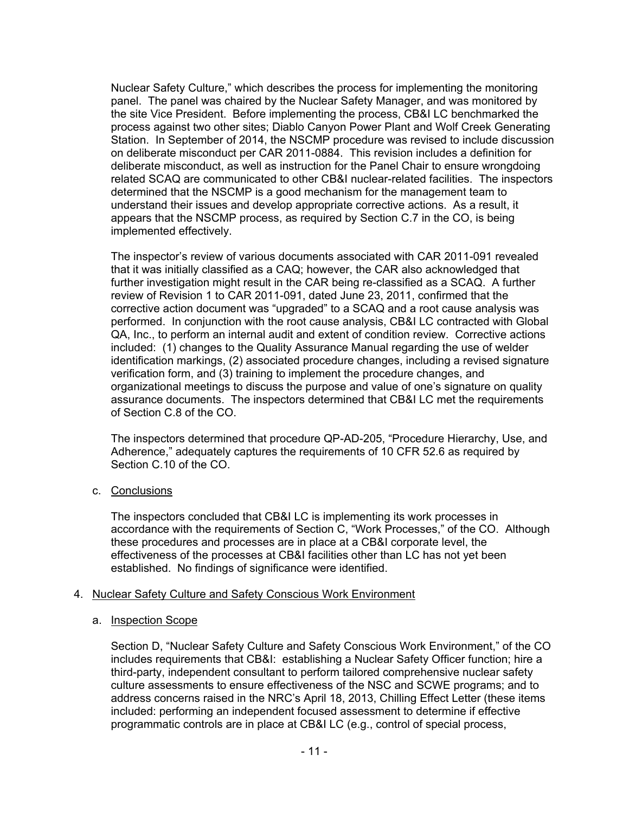Nuclear Safety Culture," which describes the process for implementing the monitoring panel. The panel was chaired by the Nuclear Safety Manager, and was monitored by the site Vice President. Before implementing the process, CB&I LC benchmarked the process against two other sites; Diablo Canyon Power Plant and Wolf Creek Generating Station. In September of 2014, the NSCMP procedure was revised to include discussion on deliberate misconduct per CAR 2011-0884. This revision includes a definition for deliberate misconduct, as well as instruction for the Panel Chair to ensure wrongdoing related SCAQ are communicated to other CB&I nuclear-related facilities. The inspectors determined that the NSCMP is a good mechanism for the management team to understand their issues and develop appropriate corrective actions. As a result, it appears that the NSCMP process, as required by Section C.7 in the CO, is being implemented effectively.

The inspector's review of various documents associated with CAR 2011-091 revealed that it was initially classified as a CAQ; however, the CAR also acknowledged that further investigation might result in the CAR being re-classified as a SCAQ. A further review of Revision 1 to CAR 2011-091, dated June 23, 2011, confirmed that the corrective action document was "upgraded" to a SCAQ and a root cause analysis was performed. In conjunction with the root cause analysis, CB&I LC contracted with Global QA, Inc., to perform an internal audit and extent of condition review. Corrective actions included: (1) changes to the Quality Assurance Manual regarding the use of welder identification markings, (2) associated procedure changes, including a revised signature verification form, and (3) training to implement the procedure changes, and organizational meetings to discuss the purpose and value of one's signature on quality assurance documents. The inspectors determined that CB&I LC met the requirements of Section C.8 of the CO.

The inspectors determined that procedure QP-AD-205, "Procedure Hierarchy, Use, and Adherence," adequately captures the requirements of 10 CFR 52.6 as required by Section C.10 of the CO.

c. Conclusions

The inspectors concluded that CB&I LC is implementing its work processes in accordance with the requirements of Section C, "Work Processes," of the CO. Although these procedures and processes are in place at a CB&I corporate level, the effectiveness of the processes at CB&I facilities other than LC has not yet been established. No findings of significance were identified.

# 4. Nuclear Safety Culture and Safety Conscious Work Environment

### a. Inspection Scope

Section D, "Nuclear Safety Culture and Safety Conscious Work Environment," of the CO includes requirements that CB&I: establishing a Nuclear Safety Officer function; hire a third-party, independent consultant to perform tailored comprehensive nuclear safety culture assessments to ensure effectiveness of the NSC and SCWE programs; and to address concerns raised in the NRC's April 18, 2013, Chilling Effect Letter (these items included: performing an independent focused assessment to determine if effective programmatic controls are in place at CB&I LC (e.g., control of special process,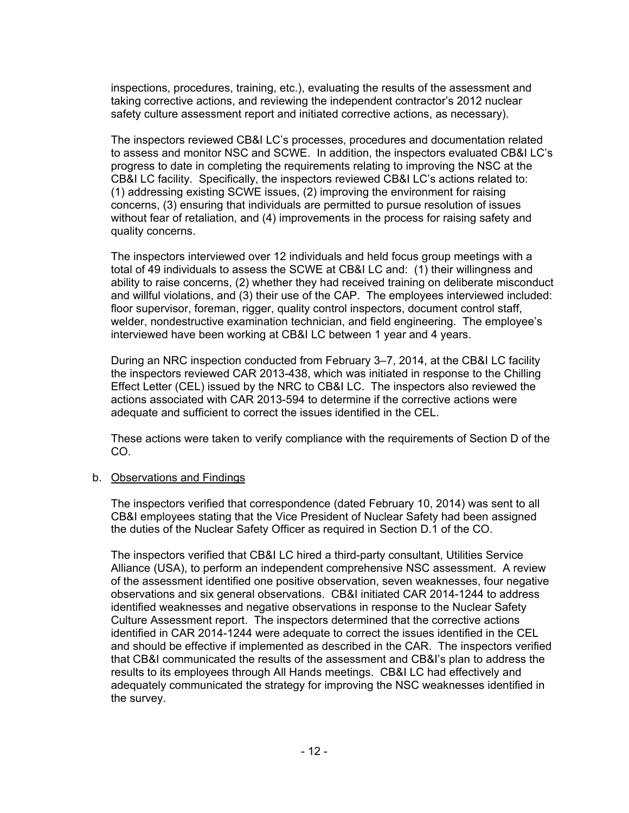inspections, procedures, training, etc.), evaluating the results of the assessment and taking corrective actions, and reviewing the independent contractor's 2012 nuclear safety culture assessment report and initiated corrective actions, as necessary).

The inspectors reviewed CB&I LC's processes, procedures and documentation related to assess and monitor NSC and SCWE. In addition, the inspectors evaluated CB&I LC's progress to date in completing the requirements relating to improving the NSC at the CB&I LC facility. Specifically, the inspectors reviewed CB&I LC's actions related to: (1) addressing existing SCWE issues, (2) improving the environment for raising concerns, (3) ensuring that individuals are permitted to pursue resolution of issues without fear of retaliation, and (4) improvements in the process for raising safety and quality concerns.

The inspectors interviewed over 12 individuals and held focus group meetings with a total of 49 individuals to assess the SCWE at CB&I LC and: (1) their willingness and ability to raise concerns, (2) whether they had received training on deliberate misconduct and willful violations, and (3) their use of the CAP. The employees interviewed included: floor supervisor, foreman, rigger, quality control inspectors, document control staff, welder, nondestructive examination technician, and field engineering. The employee's interviewed have been working at CB&I LC between 1 year and 4 years.

During an NRC inspection conducted from February 3–7, 2014, at the CB&I LC facility the inspectors reviewed CAR 2013-438, which was initiated in response to the Chilling Effect Letter (CEL) issued by the NRC to CB&I LC. The inspectors also reviewed the actions associated with CAR 2013-594 to determine if the corrective actions were adequate and sufficient to correct the issues identified in the CEL.

These actions were taken to verify compliance with the requirements of Section D of the CO.

### b. Observations and Findings

The inspectors verified that correspondence (dated February 10, 2014) was sent to all CB&I employees stating that the Vice President of Nuclear Safety had been assigned the duties of the Nuclear Safety Officer as required in Section D.1 of the CO.

The inspectors verified that CB&I LC hired a third-party consultant, Utilities Service Alliance (USA), to perform an independent comprehensive NSC assessment. A review of the assessment identified one positive observation, seven weaknesses, four negative observations and six general observations. CB&I initiated CAR 2014-1244 to address identified weaknesses and negative observations in response to the Nuclear Safety Culture Assessment report. The inspectors determined that the corrective actions identified in CAR 2014-1244 were adequate to correct the issues identified in the CEL and should be effective if implemented as described in the CAR. The inspectors verified that CB&I communicated the results of the assessment and CB&I's plan to address the results to its employees through All Hands meetings. CB&I LC had effectively and adequately communicated the strategy for improving the NSC weaknesses identified in the survey.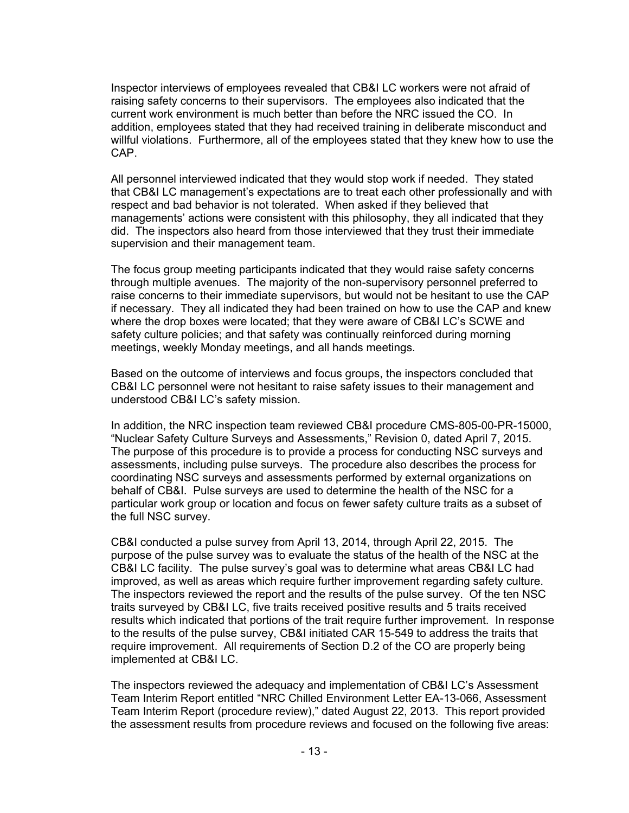Inspector interviews of employees revealed that CB&I LC workers were not afraid of raising safety concerns to their supervisors. The employees also indicated that the current work environment is much better than before the NRC issued the CO. In addition, employees stated that they had received training in deliberate misconduct and willful violations. Furthermore, all of the employees stated that they knew how to use the CAP.

All personnel interviewed indicated that they would stop work if needed. They stated that CB&I LC management's expectations are to treat each other professionally and with respect and bad behavior is not tolerated. When asked if they believed that managements' actions were consistent with this philosophy, they all indicated that they did. The inspectors also heard from those interviewed that they trust their immediate supervision and their management team.

The focus group meeting participants indicated that they would raise safety concerns through multiple avenues. The majority of the non-supervisory personnel preferred to raise concerns to their immediate supervisors, but would not be hesitant to use the CAP if necessary. They all indicated they had been trained on how to use the CAP and knew where the drop boxes were located; that they were aware of CB&I LC's SCWE and safety culture policies; and that safety was continually reinforced during morning meetings, weekly Monday meetings, and all hands meetings.

Based on the outcome of interviews and focus groups, the inspectors concluded that CB&I LC personnel were not hesitant to raise safety issues to their management and understood CB&I LC's safety mission.

In addition, the NRC inspection team reviewed CB&I procedure CMS-805-00-PR-15000, "Nuclear Safety Culture Surveys and Assessments," Revision 0, dated April 7, 2015. The purpose of this procedure is to provide a process for conducting NSC surveys and assessments, including pulse surveys. The procedure also describes the process for coordinating NSC surveys and assessments performed by external organizations on behalf of CB&I. Pulse surveys are used to determine the health of the NSC for a particular work group or location and focus on fewer safety culture traits as a subset of the full NSC survey.

CB&I conducted a pulse survey from April 13, 2014, through April 22, 2015. The purpose of the pulse survey was to evaluate the status of the health of the NSC at the CB&I LC facility. The pulse survey's goal was to determine what areas CB&I LC had improved, as well as areas which require further improvement regarding safety culture. The inspectors reviewed the report and the results of the pulse survey. Of the ten NSC traits surveyed by CB&I LC, five traits received positive results and 5 traits received results which indicated that portions of the trait require further improvement. In response to the results of the pulse survey, CB&I initiated CAR 15-549 to address the traits that require improvement. All requirements of Section D.2 of the CO are properly being implemented at CB&I LC.

The inspectors reviewed the adequacy and implementation of CB&I LC's Assessment Team Interim Report entitled "NRC Chilled Environment Letter EA-13-066, Assessment Team Interim Report (procedure review)," dated August 22, 2013. This report provided the assessment results from procedure reviews and focused on the following five areas: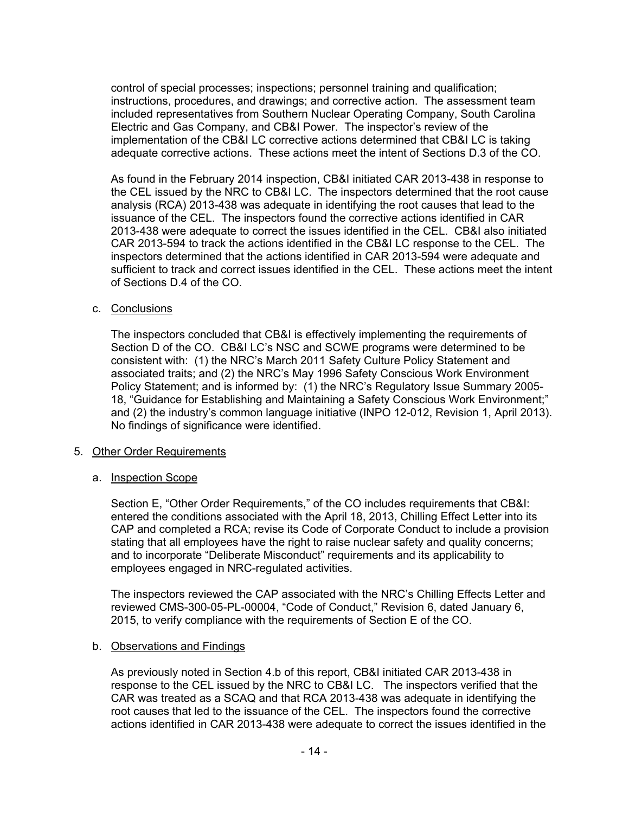control of special processes; inspections; personnel training and qualification; instructions, procedures, and drawings; and corrective action. The assessment team included representatives from Southern Nuclear Operating Company, South Carolina Electric and Gas Company, and CB&I Power. The inspector's review of the implementation of the CB&I LC corrective actions determined that CB&I LC is taking adequate corrective actions. These actions meet the intent of Sections D.3 of the CO.

As found in the February 2014 inspection, CB&I initiated CAR 2013-438 in response to the CEL issued by the NRC to CB&I LC. The inspectors determined that the root cause analysis (RCA) 2013-438 was adequate in identifying the root causes that lead to the issuance of the CEL. The inspectors found the corrective actions identified in CAR 2013-438 were adequate to correct the issues identified in the CEL. CB&I also initiated CAR 2013-594 to track the actions identified in the CB&I LC response to the CEL. The inspectors determined that the actions identified in CAR 2013-594 were adequate and sufficient to track and correct issues identified in the CEL. These actions meet the intent of Sections D.4 of the CO.

# c. Conclusions

The inspectors concluded that CB&I is effectively implementing the requirements of Section D of the CO. CB&I LC's NSC and SCWE programs were determined to be consistent with: (1) the NRC's March 2011 Safety Culture Policy Statement and associated traits; and (2) the NRC's May 1996 Safety Conscious Work Environment Policy Statement; and is informed by: (1) the NRC's Regulatory Issue Summary 2005-18, "Guidance for Establishing and Maintaining a Safety Conscious Work Environment;" and (2) the industry's common language initiative (INPO 12-012, Revision 1, April 2013). No findings of significance were identified.

### 5. Other Order Requirements

# a. Inspection Scope

Section E, "Other Order Requirements," of the CO includes requirements that CB&I: entered the conditions associated with the April 18, 2013, Chilling Effect Letter into its CAP and completed a RCA; revise its Code of Corporate Conduct to include a provision stating that all employees have the right to raise nuclear safety and quality concerns; and to incorporate "Deliberate Misconduct" requirements and its applicability to employees engaged in NRC-regulated activities.

The inspectors reviewed the CAP associated with the NRC's Chilling Effects Letter and reviewed CMS-300-05-PL-00004, "Code of Conduct," Revision 6, dated January 6, 2015, to verify compliance with the requirements of Section E of the CO.

### b. Observations and Findings

As previously noted in Section 4.b of this report, CB&I initiated CAR 2013-438 in response to the CEL issued by the NRC to CB&I LC. The inspectors verified that the CAR was treated as a SCAQ and that RCA 2013-438 was adequate in identifying the root causes that led to the issuance of the CEL. The inspectors found the corrective actions identified in CAR 2013-438 were adequate to correct the issues identified in the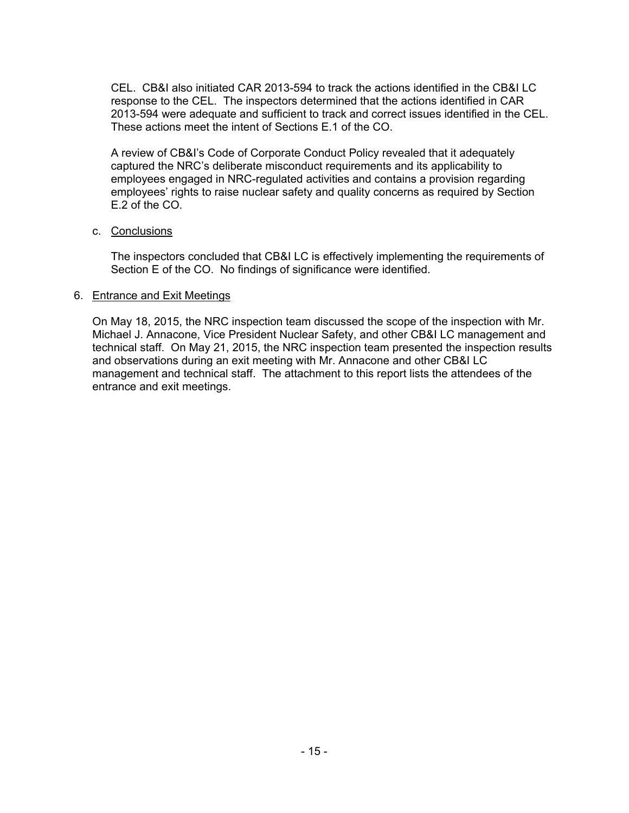CEL. CB&I also initiated CAR 2013-594 to track the actions identified in the CB&I LC response to the CEL. The inspectors determined that the actions identified in CAR 2013-594 were adequate and sufficient to track and correct issues identified in the CEL. These actions meet the intent of Sections E.1 of the CO.

A review of CB&I's Code of Corporate Conduct Policy revealed that it adequately captured the NRC's deliberate misconduct requirements and its applicability to employees engaged in NRC-regulated activities and contains a provision regarding employees' rights to raise nuclear safety and quality concerns as required by Section E.2 of the CO.

## c. Conclusions

The inspectors concluded that CB&I LC is effectively implementing the requirements of Section E of the CO. No findings of significance were identified.

## 6. Entrance and Exit Meetings

On May 18, 2015, the NRC inspection team discussed the scope of the inspection with Mr. Michael J. Annacone, Vice President Nuclear Safety, and other CB&I LC management and technical staff. On May 21, 2015, the NRC inspection team presented the inspection results and observations during an exit meeting with Mr. Annacone and other CB&I LC management and technical staff. The attachment to this report lists the attendees of the entrance and exit meetings.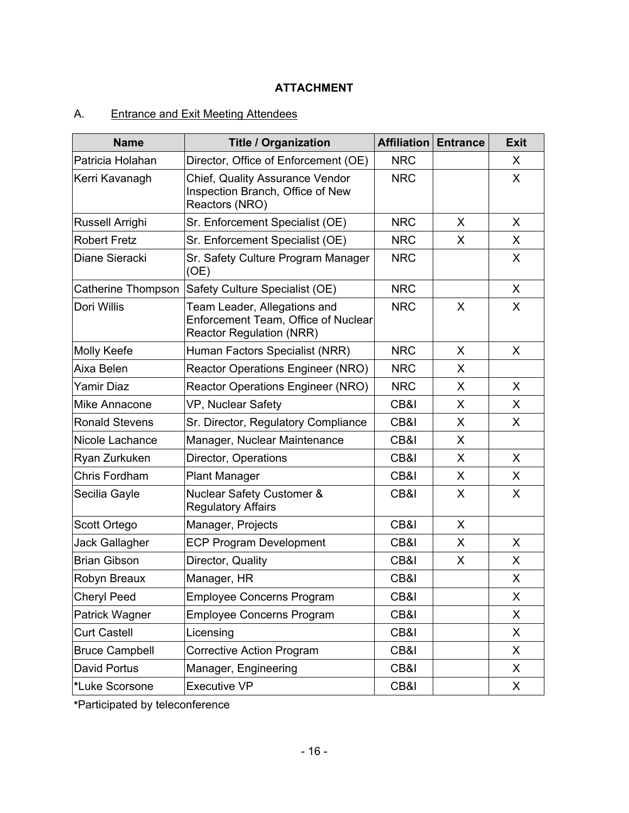# **ATTACHMENT**

# A. Entrance and Exit Meeting Attendees

| <b>Name</b>           | <b>Title / Organization</b>                                                                            | <b>Affiliation</b> | <b>Entrance</b> | <b>Exit</b> |
|-----------------------|--------------------------------------------------------------------------------------------------------|--------------------|-----------------|-------------|
| Patricia Holahan      | Director, Office of Enforcement (OE)                                                                   | <b>NRC</b>         |                 | X           |
| Kerri Kavanagh        | Chief, Quality Assurance Vendor<br>Inspection Branch, Office of New<br>Reactors (NRO)                  | <b>NRC</b>         |                 | X           |
| Russell Arrighi       | Sr. Enforcement Specialist (OE)                                                                        | <b>NRC</b>         | X               | X           |
| <b>Robert Fretz</b>   | Sr. Enforcement Specialist (OE)                                                                        | <b>NRC</b>         | X               | X           |
| Diane Sieracki        | Sr. Safety Culture Program Manager<br>(OE)                                                             | <b>NRC</b>         |                 | X           |
| Catherine Thompson    | Safety Culture Specialist (OE)                                                                         | <b>NRC</b>         |                 | X           |
| Dori Willis           | Team Leader, Allegations and<br>Enforcement Team, Office of Nuclear<br><b>Reactor Regulation (NRR)</b> | <b>NRC</b>         | X               | X           |
| <b>Molly Keefe</b>    | Human Factors Specialist (NRR)                                                                         | <b>NRC</b>         | X               | X           |
| Aixa Belen            | Reactor Operations Engineer (NRO)                                                                      | <b>NRC</b>         | X               |             |
| Yamir Diaz            | Reactor Operations Engineer (NRO)                                                                      | <b>NRC</b>         | X               | X           |
| Mike Annacone         | VP, Nuclear Safety                                                                                     | CB&I               | X               | X           |
| <b>Ronald Stevens</b> | Sr. Director, Regulatory Compliance                                                                    | CB&I               | X               | X           |
| Nicole Lachance       | Manager, Nuclear Maintenance                                                                           | CB&I               | X               |             |
| Ryan Zurkuken         | Director, Operations                                                                                   | CB&I               | X               | X           |
| Chris Fordham         | <b>Plant Manager</b>                                                                                   | CB&I               | X               | X           |
| Secilia Gayle         | Nuclear Safety Customer &<br><b>Regulatory Affairs</b>                                                 | CB&I               | X               | X           |
| Scott Ortego          | Manager, Projects                                                                                      | CB&I               | X               |             |
| Jack Gallagher        | <b>ECP Program Development</b>                                                                         | CB&I               | X               | X           |
| <b>Brian Gibson</b>   | Director, Quality                                                                                      | CB&I               | X               | X           |
| Robyn Breaux          | Manager, HR                                                                                            | CB&I               |                 | X           |
| <b>Cheryl Peed</b>    | <b>Employee Concerns Program</b>                                                                       | CB&I               |                 | X           |
| Patrick Wagner        | <b>Employee Concerns Program</b>                                                                       | CB&I               |                 | X           |
| <b>Curt Castell</b>   | Licensing                                                                                              | CB&I               |                 | X           |
| <b>Bruce Campbell</b> | <b>Corrective Action Program</b>                                                                       | CB&I               |                 | X           |
| David Portus          | Manager, Engineering                                                                                   | CB&I               |                 | X           |
| *Luke Scorsone        | <b>Executive VP</b>                                                                                    | CB&I               |                 | X           |

**\***Participated by teleconference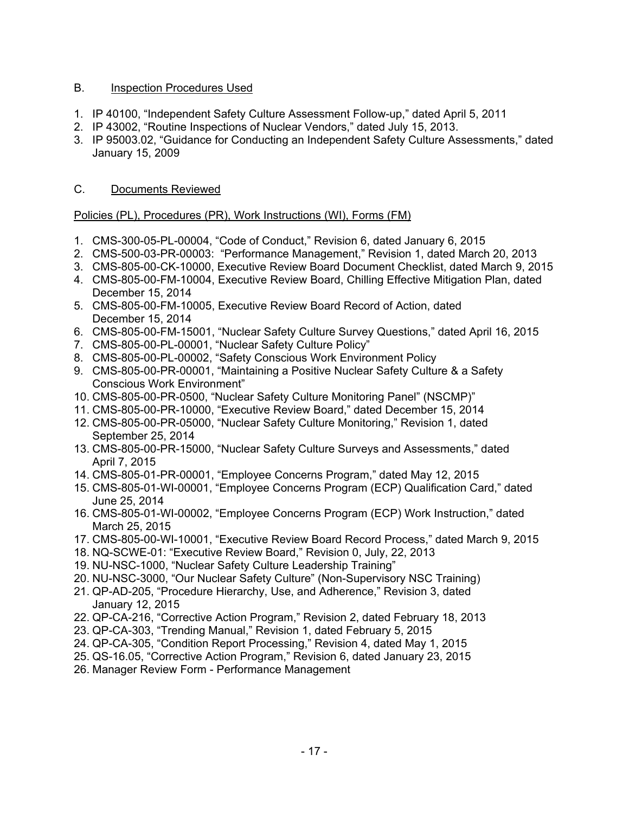# B. Inspection Procedures Used

- 1. IP 40100, "Independent Safety Culture Assessment Follow-up," dated April 5, 2011
- 2. IP 43002, "Routine Inspections of Nuclear Vendors," dated July 15, 2013.
- 3. IP 95003.02, "Guidance for Conducting an Independent Safety Culture Assessments," dated January 15, 2009

# C. Documents Reviewed

# Policies (PL), Procedures (PR), Work Instructions (WI), Forms (FM)

- 1. CMS-300-05-PL-00004, "Code of Conduct," Revision 6, dated January 6, 2015
- 2. CMS-500-03-PR-00003: "Performance Management," Revision 1, dated March 20, 2013
- 3. CMS-805-00-CK-10000, Executive Review Board Document Checklist, dated March 9, 2015
- 4. CMS-805-00-FM-10004, Executive Review Board, Chilling Effective Mitigation Plan, dated December 15, 2014
- 5. CMS-805-00-FM-10005, Executive Review Board Record of Action, dated December 15, 2014
- 6. CMS-805-00-FM-15001, "Nuclear Safety Culture Survey Questions," dated April 16, 2015
- 7. CMS-805-00-PL-00001, "Nuclear Safety Culture Policy"
- 8. CMS-805-00-PL-00002, "Safety Conscious Work Environment Policy
- 9. CMS-805-00-PR-00001, "Maintaining a Positive Nuclear Safety Culture & a Safety Conscious Work Environment"
- 10. CMS-805-00-PR-0500, "Nuclear Safety Culture Monitoring Panel" (NSCMP)"
- 11. CMS-805-00-PR-10000, "Executive Review Board," dated December 15, 2014
- 12. CMS-805-00-PR-05000, "Nuclear Safety Culture Monitoring," Revision 1, dated September 25, 2014
- 13. CMS-805-00-PR-15000, "Nuclear Safety Culture Surveys and Assessments," dated April 7, 2015
- 14. CMS-805-01-PR-00001, "Employee Concerns Program," dated May 12, 2015
- 15. CMS-805-01-WI-00001, "Employee Concerns Program (ECP) Qualification Card," dated June 25, 2014
- 16. CMS-805-01-WI-00002, "Employee Concerns Program (ECP) Work Instruction," dated March 25, 2015
- 17. CMS-805-00-WI-10001, "Executive Review Board Record Process," dated March 9, 2015
- 18. NQ-SCWE-01: "Executive Review Board," Revision 0, July, 22, 2013
- 19. NU-NSC-1000, "Nuclear Safety Culture Leadership Training"
- 20. NU-NSC-3000, "Our Nuclear Safety Culture" (Non-Supervisory NSC Training)
- 21. QP-AD-205, "Procedure Hierarchy, Use, and Adherence," Revision 3, dated January 12, 2015
- 22. QP-CA-216, "Corrective Action Program," Revision 2, dated February 18, 2013
- 23. QP-CA-303, "Trending Manual," Revision 1, dated February 5, 2015
- 24. QP-CA-305, "Condition Report Processing," Revision 4, dated May 1, 2015
- 25. QS-16.05, "Corrective Action Program," Revision 6, dated January 23, 2015
- 26. Manager Review Form Performance Management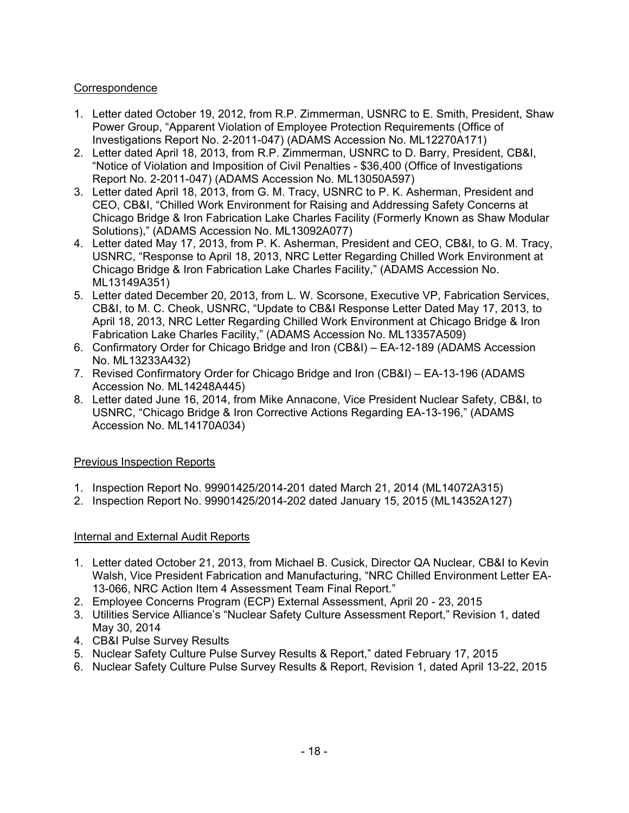# **Correspondence**

- 1. Letter dated October 19, 2012, from R.P. Zimmerman, USNRC to E. Smith, President, Shaw Power Group, "Apparent Violation of Employee Protection Requirements (Office of Investigations Report No. 2-2011-047) (ADAMS Accession No. ML12270A171)
- 2. Letter dated April 18, 2013, from R.P. Zimmerman, USNRC to D. Barry, President, CB&I, "Notice of Violation and Imposition of Civil Penalties - \$36,400 (Office of Investigations Report No. 2-2011-047) (ADAMS Accession No. ML13050A597)
- 3. Letter dated April 18, 2013, from G. M. Tracy, USNRC to P. K. Asherman, President and CEO, CB&I, "Chilled Work Environment for Raising and Addressing Safety Concerns at Chicago Bridge & Iron Fabrication Lake Charles Facility (Formerly Known as Shaw Modular Solutions)," (ADAMS Accession No. ML13092A077)
- 4. Letter dated May 17, 2013, from P. K. Asherman, President and CEO, CB&I, to G. M. Tracy, USNRC, "Response to April 18, 2013, NRC Letter Regarding Chilled Work Environment at Chicago Bridge & Iron Fabrication Lake Charles Facility," (ADAMS Accession No. ML13149A351)
- 5. Letter dated December 20, 2013, from L. W. Scorsone, Executive VP, Fabrication Services, CB&I, to M. C. Cheok, USNRC, "Update to CB&I Response Letter Dated May 17, 2013, to April 18, 2013, NRC Letter Regarding Chilled Work Environment at Chicago Bridge & Iron Fabrication Lake Charles Facility," (ADAMS Accession No. ML13357A509)
- 6. Confirmatory Order for Chicago Bridge and Iron (CB&I) EA-12-189 (ADAMS Accession No. ML13233A432)
- 7. Revised Confirmatory Order for Chicago Bridge and Iron (CB&I) EA-13-196 (ADAMS Accession No. ML14248A445)
- 8. Letter dated June 16, 2014, from Mike Annacone, Vice President Nuclear Safety, CB&I, to USNRC, "Chicago Bridge & Iron Corrective Actions Regarding EA-13-196," (ADAMS Accession No. ML14170A034)

# Previous Inspection Reports

- 1. Inspection Report No. 99901425/2014-201 dated March 21, 2014 (ML14072A315)
- 2. Inspection Report No. 99901425/2014-202 dated January 15, 2015 (ML14352A127)

# Internal and External Audit Reports

- 1. Letter dated October 21, 2013, from Michael B. Cusick, Director QA Nuclear, CB&I to Kevin Walsh, Vice President Fabrication and Manufacturing, "NRC Chilled Environment Letter EA-13-066, NRC Action Item 4 Assessment Team Final Report."
- 2. Employee Concerns Program (ECP) External Assessment, April 20 23, 2015
- 3. Utilities Service Alliance's "Nuclear Safety Culture Assessment Report," Revision 1, dated May 30, 2014
- 4. CB&I Pulse Survey Results
- 5. Nuclear Safety Culture Pulse Survey Results & Report," dated February 17, 2015
- 6. Nuclear Safety Culture Pulse Survey Results & Report, Revision 1, dated April 13-22, 2015